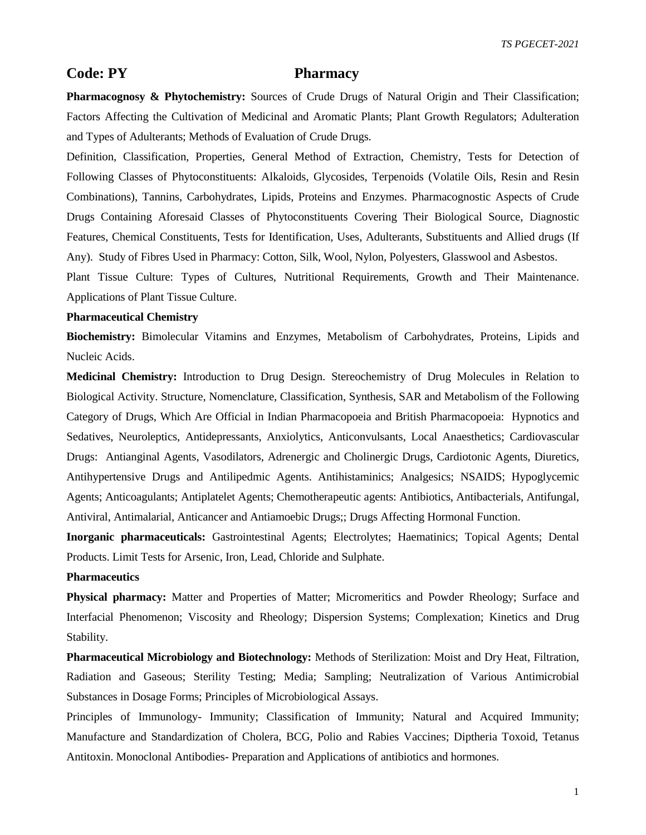*TS PGECET-2021*

# **Code: PY Pharmacy**

**Pharmacognosy & Phytochemistry:** Sources of Crude Drugs of Natural Origin and Their Classification; Factors Affecting the Cultivation of Medicinal and Aromatic Plants; Plant Growth Regulators; Adulteration and Types of Adulterants; Methods of Evaluation of Crude Drugs.

Definition, Classification, Properties, General Method of Extraction, Chemistry, Tests for Detection of Following Classes of Phytoconstituents: Alkaloids, Glycosides, Terpenoids (Volatile Oils, Resin and Resin Combinations), Tannins, Carbohydrates, Lipids, Proteins and Enzymes. Pharmacognostic Aspects of Crude Drugs Containing Aforesaid Classes of Phytoconstituents Covering Their Biological Source, Diagnostic Features, Chemical Constituents, Tests for Identification, Uses, Adulterants, Substituents and Allied drugs (If Any). Study of Fibres Used in Pharmacy: Cotton, Silk, Wool, Nylon, Polyesters, Glasswool and Asbestos.

Plant Tissue Culture: Types of Cultures, Nutritional Requirements, Growth and Their Maintenance. Applications of Plant Tissue Culture.

## **Pharmaceutical Chemistry**

**Biochemistry:** Bimolecular Vitamins and Enzymes, Metabolism of Carbohydrates, Proteins, Lipids and Nucleic Acids.

**Medicinal Chemistry:** Introduction to Drug Design. Stereochemistry of Drug Molecules in Relation to Biological Activity. Structure, Nomenclature, Classification, Synthesis, SAR and Metabolism of the Following Category of Drugs, Which Are Official in Indian Pharmacopoeia and British Pharmacopoeia: Hypnotics and Sedatives, Neuroleptics, Antidepressants, Anxiolytics, Anticonvulsants, Local Anaesthetics; Cardiovascular Drugs: Antianginal Agents, Vasodilators, Adrenergic and Cholinergic Drugs, Cardiotonic Agents, Diuretics, Antihypertensive Drugs and Antilipedmic Agents. Antihistaminics; Analgesics; NSAIDS; Hypoglycemic Agents; Anticoagulants; Antiplatelet Agents; Chemotherapeutic agents: Antibiotics, Antibacterials, Antifungal, Antiviral, Antimalarial, Anticancer and Antiamoebic Drugs;; Drugs Affecting Hormonal Function.

**Inorganic pharmaceuticals:** Gastrointestinal Agents; Electrolytes; Haematinics; Topical Agents; Dental Products. Limit Tests for Arsenic, Iron, Lead, Chloride and Sulphate.

## **Pharmaceutics**

**Physical pharmacy:** Matter and Properties of Matter; Micromeritics and Powder Rheology; Surface and Interfacial Phenomenon; Viscosity and Rheology; Dispersion Systems; Complexation; Kinetics and Drug Stability.

**Pharmaceutical Microbiology and Biotechnology:** Methods of Sterilization: Moist and Dry Heat, Filtration, Radiation and Gaseous; Sterility Testing; Media; Sampling; Neutralization of Various Antimicrobial Substances in Dosage Forms; Principles of Microbiological Assays.

Principles of Immunology- Immunity; Classification of Immunity; Natural and Acquired Immunity; Manufacture and Standardization of Cholera, BCG, Polio and Rabies Vaccines; Diptheria Toxoid, Tetanus Antitoxin. Monoclonal Antibodies- Preparation and Applications of antibiotics and hormones.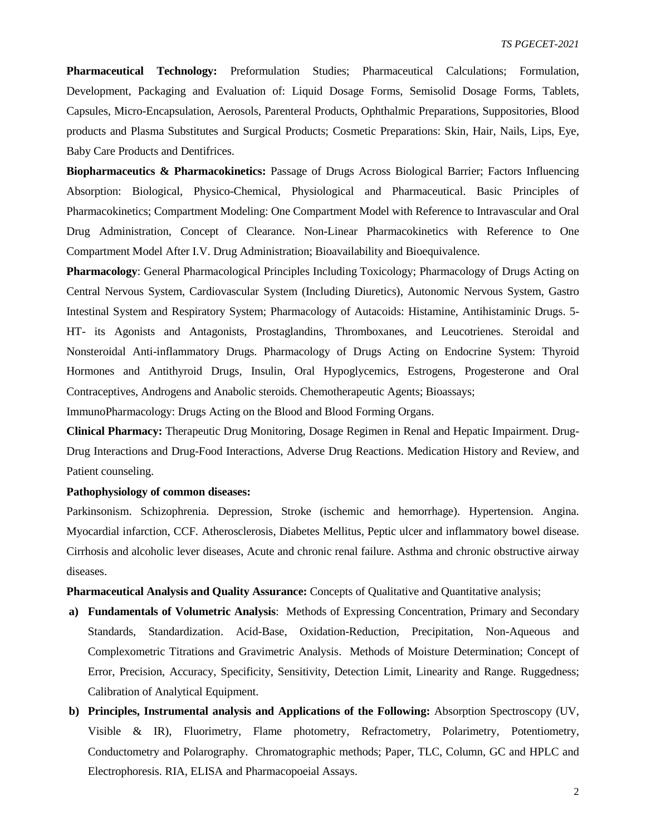**Pharmaceutical Technology:** Preformulation Studies; Pharmaceutical Calculations; Formulation, Development, Packaging and Evaluation of: Liquid Dosage Forms, Semisolid Dosage Forms, Tablets, Capsules, Micro-Encapsulation, Aerosols, Parenteral Products, Ophthalmic Preparations, Suppositories, Blood products and Plasma Substitutes and Surgical Products; Cosmetic Preparations: Skin, Hair, Nails, Lips, Eye, Baby Care Products and Dentifrices.

**Biopharmaceutics & Pharmacokinetics:** Passage of Drugs Across Biological Barrier; Factors Influencing Absorption: Biological, Physico-Chemical, Physiological and Pharmaceutical. Basic Principles of Pharmacokinetics; Compartment Modeling: One Compartment Model with Reference to Intravascular and Oral Drug Administration, Concept of Clearance. Non-Linear Pharmacokinetics with Reference to One Compartment Model After I.V. Drug Administration; Bioavailability and Bioequivalence.

**Pharmacology**: General Pharmacological Principles Including Toxicology; Pharmacology of Drugs Acting on Central Nervous System, Cardiovascular System (Including Diuretics), Autonomic Nervous System, Gastro Intestinal System and Respiratory System; Pharmacology of Autacoids: Histamine, Antihistaminic Drugs. 5- HT- its Agonists and Antagonists, Prostaglandins, Thromboxanes, and Leucotrienes. Steroidal and Nonsteroidal Anti-inflammatory Drugs. Pharmacology of Drugs Acting on Endocrine System: Thyroid Hormones and Antithyroid Drugs, Insulin, Oral Hypoglycemics, Estrogens, Progesterone and Oral Contraceptives, Androgens and Anabolic steroids. Chemotherapeutic Agents; Bioassays;

ImmunoPharmacology: Drugs Acting on the Blood and Blood Forming Organs.

**Clinical Pharmacy:** Therapeutic Drug Monitoring, Dosage Regimen in Renal and Hepatic Impairment. Drug-Drug Interactions and Drug-Food Interactions, Adverse Drug Reactions. Medication History and Review, and Patient counseling.

#### **Pathophysiology of common diseases:**

Parkinsonism. Schizophrenia. Depression, Stroke (ischemic and hemorrhage). Hypertension. Angina. Myocardial infarction, CCF. Atherosclerosis, Diabetes Mellitus, Peptic ulcer and inflammatory bowel disease. Cirrhosis and alcoholic lever diseases, Acute and chronic renal failure. Asthma and chronic obstructive airway diseases.

**Pharmaceutical Analysis and Quality Assurance:** Concepts of Qualitative and Quantitative analysis;

- **a) Fundamentals of Volumetric Analysis**: Methods of Expressing Concentration, Primary and Secondary Standards, Standardization. Acid-Base, Oxidation-Reduction, Precipitation, Non-Aqueous and Complexometric Titrations and Gravimetric Analysis. Methods of Moisture Determination; Concept of Error, Precision, Accuracy, Specificity, Sensitivity, Detection Limit, Linearity and Range. Ruggedness; Calibration of Analytical Equipment.
- **b) Principles, Instrumental analysis and Applications of the Following:** Absorption Spectroscopy (UV, Visible & IR), Fluorimetry, Flame photometry, Refractometry, Polarimetry, Potentiometry, Conductometry and Polarography. Chromatographic methods; Paper, TLC, Column, GC and HPLC and Electrophoresis. RIA, ELISA and Pharmacopoeial Assays.